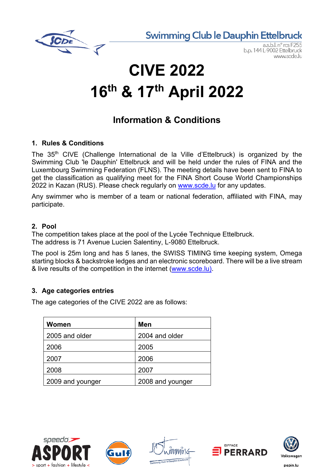**Swimming Club le Dauphin Ettelbruck** 



 $a.s.b.l.n<sup>o</sup> rcs$ b.p. 144 L-9002 Ettelbruck www.scde.lu

# **CIVE 2022 16th & 17th April 2022**

### **Information & Conditions**

#### **1. Rules & Conditions**

The 35<sup>th</sup> CIVE (Challenge International de la Ville d'Ettelbruck) is organized by the Swimming Club 'le Dauphin' Ettelbruck and will be held under the rules of FINA and the Luxembourg Swimming Federation (FLNS). The meeting details have been sent to FINA to get the classification as qualifying meet for the FINA Short Couse World Championships 2022 in Kazan (RUS). Please check regularly on www.scde.lu for any updates.

Any swimmer who is member of a team or national federation, affiliated with FINA, may participate.

#### **2. Pool**

The competition takes place at the pool of the Lycée Technique Ettelbruck. The address is 71 Avenue Lucien Salentiny, L-9080 Ettelbruck.

The pool is 25m long and has 5 lanes, the SWISS TIMING time keeping system, Omega starting blocks & backstroke ledges and an electronic scoreboard. There will be a live stream & live results of the competition in the internet (www.scde.lu).

#### **3. Age categories entries**

The age categories of the CIVE 2022 are as follows:

| <b>Women</b>     | Men              |
|------------------|------------------|
| 2005 and older   | 2004 and older   |
| 2006             | 2005             |
| 2007             | 2006             |
| 2008             | 2007             |
| 2009 and younger | 2008 and younger |









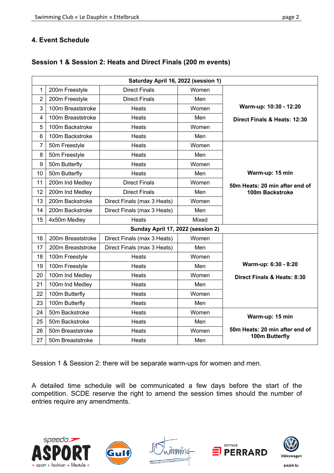#### **4. Event Schedule**

|                | Saturday April 16, 2022 (session 1) |                                   |       |                                |  |  |  |  |  |  |
|----------------|-------------------------------------|-----------------------------------|-------|--------------------------------|--|--|--|--|--|--|
| 1              | 200m Freestyle                      | <b>Direct Finals</b>              | Women |                                |  |  |  |  |  |  |
| $\overline{2}$ | 200m Freestyle                      | <b>Direct Finals</b>              | Men   |                                |  |  |  |  |  |  |
| 3              | 100m Breaststroke                   | Heats                             | Women | Warm-up: 10:30 - 12:20         |  |  |  |  |  |  |
| 4              | 100m Breaststroke                   | Heats                             | Men   | Direct Finals & Heats: 12:30   |  |  |  |  |  |  |
| 5              | 100m Backstroke                     | Heats                             | Women |                                |  |  |  |  |  |  |
| 6              | 100m Backstroke                     | Heats                             | Men   |                                |  |  |  |  |  |  |
| 7              | 50m Freestyle                       | Heats                             | Women |                                |  |  |  |  |  |  |
| 8              | 50m Freestyle                       | <b>Heats</b>                      | Men   |                                |  |  |  |  |  |  |
| 9              | 50m Butterfly                       | <b>Heats</b>                      | Women |                                |  |  |  |  |  |  |
| 10             | 50m Butterfly                       | Heats                             | Men   | Warm-up: 15 min                |  |  |  |  |  |  |
| 11             | 200m Ind Medley                     | <b>Direct Finals</b>              | Women | 50m Heats: 20 min after end of |  |  |  |  |  |  |
| 12             | 200m Ind Medley                     | <b>Direct Finals</b>              | Men   | 100m Backstroke                |  |  |  |  |  |  |
| 13             | 200m Backstroke                     | Direct Finals (max 3 Heats)       | Women |                                |  |  |  |  |  |  |
| 14             | 200m Backstroke                     | Direct Finals (max 3 Heats)       | Men   |                                |  |  |  |  |  |  |
| 15             | 4x50m Medley                        | <b>Heats</b>                      | Mixed |                                |  |  |  |  |  |  |
|                |                                     | Sunday April 17, 2022 (session 2) |       |                                |  |  |  |  |  |  |
| 16             | 200m Breaststroke                   | Direct Finals (max 3 Heats)       | Women |                                |  |  |  |  |  |  |
| 17             | 200m Breaststroke                   | Direct Finals (max 3 Heats)       | Men   |                                |  |  |  |  |  |  |
| 18             | 100m Freestyle                      | <b>Heats</b>                      | Women |                                |  |  |  |  |  |  |
| 19             | 100m Freestyle                      | Heats                             | Men   | Warm-up: 6:30 - 8:20           |  |  |  |  |  |  |
| 20             | 100m Ind Medley                     | Heats                             | Women | Direct Finals & Heats: 8:30    |  |  |  |  |  |  |
| 21             | 100m Ind Medley                     | Heats                             | Men   |                                |  |  |  |  |  |  |
| 22             | 100m Butterfly                      | Heats                             | Women |                                |  |  |  |  |  |  |
| 23             | 100m Butterfly                      | Heats                             | Men   |                                |  |  |  |  |  |  |
| 24             | 50m Backstroke                      | Heats                             | Women | Warm-up: 15 min                |  |  |  |  |  |  |
| 25             | 50m Backstroke                      | Heats                             | Men   |                                |  |  |  |  |  |  |
| 26             | 50m Breaststroke                    | Heats                             | Women | 50m Heats: 20 min after end of |  |  |  |  |  |  |
| 27             | 50m Breaststroke                    | Heats                             | Men   | 100m Butterfly                 |  |  |  |  |  |  |

#### **Session 1 & Session 2: Heats and Direct Finals (200 m events)**

Session 1 & Session 2: there will be separate warm-ups for women and men.

A detailed time schedule will be communicated a few days before the start of the competition. SCDE reserve the right to amend the session times should the number of entries require any amendments.









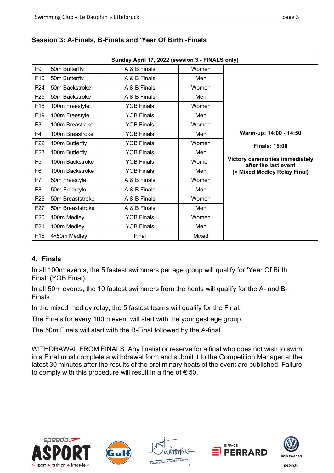|                 | Sunday April 17, 2022 (session 3 - FINALS only) |                   |       |                                                               |  |  |  |  |  |
|-----------------|-------------------------------------------------|-------------------|-------|---------------------------------------------------------------|--|--|--|--|--|
| F <sub>9</sub>  | 50m Butterfly                                   | A & B Finals      | Women |                                                               |  |  |  |  |  |
| F10             | 50m Butterfly                                   | A & B Finals      | Men   |                                                               |  |  |  |  |  |
| F <sub>24</sub> | 50m Backstroke                                  | A & B Finals      | Women |                                                               |  |  |  |  |  |
| F <sub>25</sub> | 50m Backstroke                                  | A & B Finals      | Men   |                                                               |  |  |  |  |  |
| F18             | 100m Freestyle                                  | <b>YOB Finals</b> | Women |                                                               |  |  |  |  |  |
| F <sub>19</sub> | 100m Freestyle                                  | <b>YOB Finals</b> | Men   |                                                               |  |  |  |  |  |
| F <sub>3</sub>  | 100m Breastroke                                 | <b>YOB Finals</b> | Women |                                                               |  |  |  |  |  |
| F <sub>4</sub>  | 100m Breastroke                                 | <b>YOB Finals</b> | Men   | Warm-up: 14:00 - 14:50                                        |  |  |  |  |  |
| F <sub>22</sub> | 100m Butterfly                                  | <b>YOB Finals</b> | Women | <b>Finals: 15:00</b>                                          |  |  |  |  |  |
| F <sub>23</sub> | 100m Butterfly                                  | <b>YOB Finals</b> | Men   |                                                               |  |  |  |  |  |
| F <sub>5</sub>  | 100m Backstroke                                 | <b>YOB Finals</b> | Women | <b>Victory ceremonies immediately</b><br>after the last event |  |  |  |  |  |
| F <sub>6</sub>  | 100m Backstroke                                 | <b>YOB Finals</b> | Men   | (= Mixed Medley Relay Final)                                  |  |  |  |  |  |
| F7              | 50m Freestyle                                   | A & B Finals      | Women |                                                               |  |  |  |  |  |
| F <sub>8</sub>  | 50m Freestyle                                   | A & B Finals      | Men   |                                                               |  |  |  |  |  |
| F <sub>26</sub> | 50m Breaststroke                                | A & B Finals      | Women |                                                               |  |  |  |  |  |
| F <sub>27</sub> | 50m Breaststroke                                | A & B Finals      | Men   |                                                               |  |  |  |  |  |
| F <sub>20</sub> | 100m Medley                                     | <b>YOB Finals</b> | Women |                                                               |  |  |  |  |  |
| F <sub>21</sub> | 100m Medley                                     | <b>YOB Finals</b> | Men   |                                                               |  |  |  |  |  |
| F <sub>15</sub> | 4x50m Medley                                    | Final             | Mixed |                                                               |  |  |  |  |  |

#### **Session 3: A-Finals, B-Finals and 'Year Of Birth'-Finals**

#### **4. Finals**

In all 100m events, the 5 fastest swimmers per age group will qualify for 'Year Of Birth Final' (YOB Final).

In all 50m events, the 10 fastest swimmers from the heats will qualify for the A- and B-Finals.

In the mixed medley relay, the 5 fastest teams will qualify for the Final*.*

The Finals for every 100m event will start with the youngest age group.

The 50m Finals will start with the B-Final followed by the A-final.

WITHDRAWAL FROM FINALS: Any finalist or reserve for a final who does not wish to swim in a Final must complete a withdrawal form and submit it to the Competition Manager at the latest 30 minutes after the results of the preliminary heats of the event are published. Failure to comply with this procedure will result in a fine of  $\epsilon$  50.









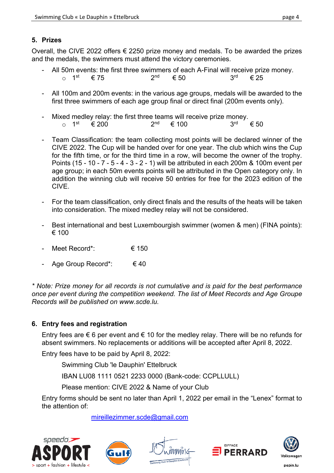#### **5. Prizes**

Overall, the CIVE 2022 offers  $\epsilon$  2250 prize money and medals. To be awarded the prizes and the medals, the swimmers must attend the victory ceremonies.

- All 50m events: the first three swimmers of each A-Final will receive prize money. o 1<sup>st</sup> € 75 2<sup>nd</sup> € 50 3<sup>rd</sup> € 25
- All 100m and 200m events: in the various age groups, medals will be awarded to the first three swimmers of each age group final or direct final (200m events only).
- Mixed medley relay: the first three teams will receive prize money.<br>  $\circ$  1<sup>st</sup> € 200 2<sup>nd</sup> € 100 3<sup>rd</sup>  $e^{\frac{1}{2}$  200 2<sup>nd</sup> € 100 3<sup>rd</sup> € 50
- Team Classification: the team collecting most points will be declared winner of the CIVE 2022. The Cup will be handed over for one year. The club which wins the Cup for the fifth time, or for the third time in a row, will become the owner of the trophy. Points (15 - 10 - 7 - 5 - 4 - 3 - 2 - 1) will be attributed in each 200m & 100m event per age group; in each 50m events points will be attributed in the Open category only. In addition the winning club will receive 50 entries for free for the 2023 edition of the CIVE.
- For the team classification, only direct finals and the results of the heats will be taken into consideration. The mixed medley relay will not be considered.
- Best international and best Luxembourgish swimmer (women & men) (FINA points): € 100
- Meet Record\*:  $\epsilon$  150
- Age Group Record\*:  $\epsilon$  40

*\* Note: Prize money for all records is not cumulative and is paid for the best performance once per event during the competition weekend. The list of Meet Records and Age Groupe Records will be published on www.scde.lu.*

#### **6. Entry fees and registration**

Entry fees are  $\epsilon$  6 per event and  $\epsilon$  10 for the medley relay. There will be no refunds for absent swimmers. No replacements or additions will be accepted after April 8, 2022.

Entry fees have to be paid by April 8, 2022:

Swimming Club 'le Dauphin' Ettelbruck

IBAN LU08 1111 0521 2233 0000 (Bank-code: CCPLLULL)

Please mention: CIVE 2022 & Name of your Club

Entry forms should be sent no later than April 1, 2022 per email in the "Lenex" format to the attention of:

mireillezimmer.scde@gmail.com











pepin.lu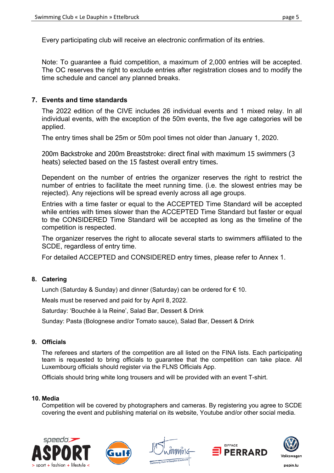Every participating club will receive an electronic confirmation of its entries.

Note: To guarantee a fluid competition, a maximum of 2,000 entries will be accepted. The OC reserves the right to exclude entries after registration closes and to modify the time schedule and cancel any planned breaks.

#### **7. Events and time standards**

The 2022 edition of the CIVE includes 26 individual events and 1 mixed relay. In all individual events, with the exception of the 50m events, the five age categories will be applied.

The entry times shall be 25m or 50m pool times not older than January 1, 2020.

200m Backstroke and 200m Breaststroke: direct final with maximum 15 swimmers (3 heats) selected based on the 15 fastest overall entry times.

Dependent on the number of entries the organizer reserves the right to restrict the number of entries to facilitate the meet running time. (i.e. the slowest entries may be rejected). Any rejections will be spread evenly across all age groups.

Entries with a time faster or equal to the ACCEPTED Time Standard will be accepted while entries with times slower than the ACCEPTED Time Standard but faster or equal to the CONSIDERED Time Standard will be accepted as long as the timeline of the competition is respected.

The organizer reserves the right to allocate several starts to swimmers affiliated to the SCDE, regardless of entry time.

For detailed ACCEPTED and CONSIDERED entry times, please refer to Annex 1.

#### **8. Catering**

Lunch (Saturday & Sunday) and dinner (Saturday) can be ordered for  $\epsilon$  10.

Meals must be reserved and paid for by April 8, 2022.

Saturday: 'Bouchée à la Reine', Salad Bar, Dessert & Drink

Sunday: Pasta (Bolognese and/or Tomato sauce), Salad Bar, Dessert & Drink

#### **9. Officials**

The referees and starters of the competition are all listed on the FINA lists. Each participating team is requested to bring officials to guarantee that the competition can take place. All Luxembourg officials should register via the FLNS Officials App.

Officials should bring white long trousers and will be provided with an event T-shirt.

#### **10. Media**

Competition will be covered by photographers and cameras. By registering you agree to SCDE covering the event and publishing material on its website, Youtube and/or other social media.









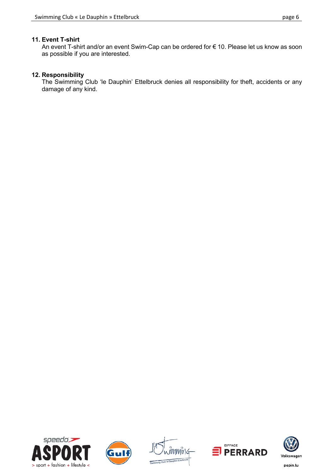#### **11. Event T-shirt**

An event T-shirt and/or an event Swim-Cap can be ordered for € 10. Please let us know as soon as possible if you are interested.

#### **12. Responsibility**

The Swimming Club 'le Dauphin' Ettelbruck denies all responsibility for theft, accidents or any damage of any kind.











pepin.lu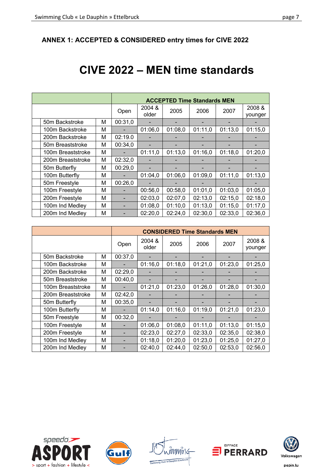#### **ANNEX 1: ACCEPTED & CONSIDERED entry times for CIVE 2022**

## **CIVE 2022 – MEN time standards**

|                   |      | <b>ACCEPTED Time Standards MEN</b> |         |         |         |                   |         |
|-------------------|------|------------------------------------|---------|---------|---------|-------------------|---------|
|                   | Open | 2004 &<br>older                    | 2005    | 2006    | 2007    | 2008 &<br>younger |         |
| 50m Backstroke    | М    | 00:31,0                            |         |         |         |                   |         |
| 100m Backstroke   | М    |                                    | 01:06,0 | 01:08,0 | 01:11,0 | 01:13,0           | 01:15,0 |
| 200m Backstroke   | М    | 02:19.0                            |         |         |         |                   |         |
| 50m Breaststroke  | м    | 00:34,0                            |         |         |         |                   |         |
| 100m Breaststroke | М    |                                    | 01:11,0 | 01:13,0 | 01:16,0 | 01:18.0           | 01:20,0 |
| 200m Breaststroke | М    | 02:32,0                            |         |         |         |                   |         |
| 50m Butterfly     | М    | 00:29,0                            |         |         |         |                   |         |
| 100m Butterfly    | М    |                                    | 01:04,0 | 01:06.0 | 01:09.0 | 01:11,0           | 01:13,0 |
| 50m Freestyle     | М    | 00:26,0                            |         |         |         |                   |         |
| 100m Freestyle    | М    |                                    | 00:56,0 | 00:58,0 | 01:01,0 | 01:03,0           | 01:05,0 |
| 200m Freestyle    | M    |                                    | 02:03,0 | 02:07.0 | 02:13,0 | 02:15,0           | 02:18,0 |
| 100m Ind Medley   | М    |                                    | 01:08,0 | 01:10.0 | 01:13,0 | 01:15.0           | 01:17,0 |
| 200m Ind Medley   | М    |                                    | 02:20,0 | 02:24,0 | 02:30,0 | 02:33.0           | 02:36,0 |

|                   |   | <b>CONSIDERED Time Standards MEN</b> |                 |         |         |         |                   |
|-------------------|---|--------------------------------------|-----------------|---------|---------|---------|-------------------|
|                   |   | Open                                 | 2004 &<br>older | 2005    | 2006    | 2007    | 2008 &<br>younger |
| 50m Backstroke    | М | 00:37,0                              |                 |         |         |         |                   |
| 100m Backstroke   | М |                                      | 01:16,0         | 01:18,0 | 01:21,0 | 01:23,0 | 01:25,0           |
| 200m Backstroke   | М | 02:29,0                              |                 |         |         |         |                   |
| 50m Breaststroke  | М | 00:40.0                              |                 |         |         |         |                   |
| 100m Breaststroke | М |                                      | 01:21,0         | 01:23,0 | 01:26,0 | 01:28,0 | 01:30,0           |
| 200m Breaststroke | М | 02:42,0                              |                 |         |         |         |                   |
| 50m Butterfly     | М | 00:35,0                              |                 |         |         |         |                   |
| 100m Butterfly    | м |                                      | 01:14.0         | 01:16,0 | 01:19,0 | 01:21,0 | 01:23,0           |
| 50m Freestyle     | М | 00:32,0                              |                 |         |         |         |                   |
| 100m Freestyle    | М |                                      | 01:06.0         | 01:08.0 | 01:11,0 | 01:13,0 | 01:15,0           |
| 200m Freestyle    | м |                                      | 02:23,0         | 02:27,0 | 02:33,0 | 02:35,0 | 02:38,0           |
| 100m Ind Medley   | М |                                      | 01:18,0         | 01:20,0 | 01:23,0 | 01:25,0 | 01:27,0           |
| 200m Ind Medley   | м |                                      | 02:40.0         | 02:44.0 | 02:50,0 | 02:53,0 | 02:56.0           |